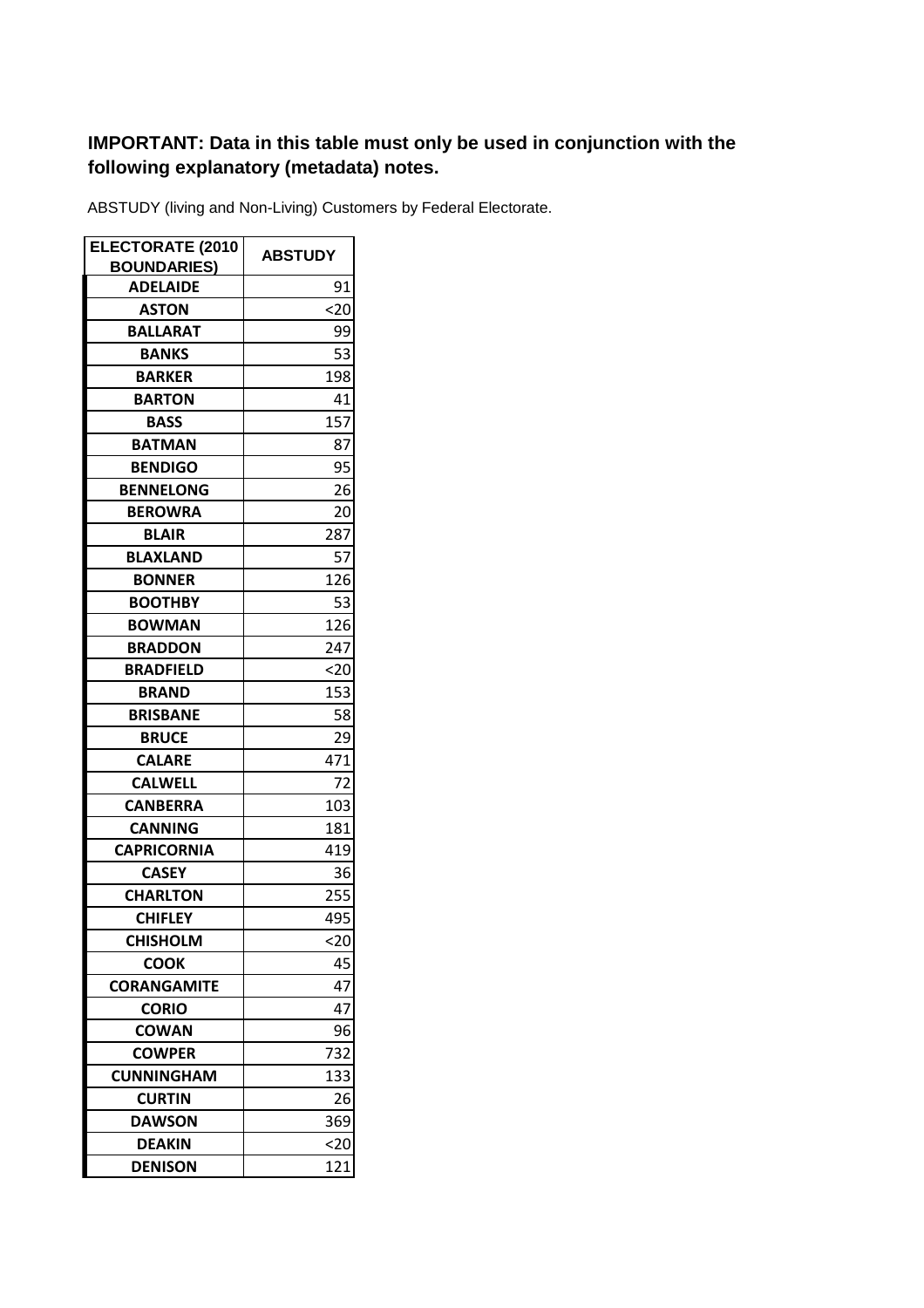## **IMPORTANT: Data in this table must only be used in conjunction with the following explanatory (metadata) notes.**

ABSTUDY (living and Non-Living) Customers by Federal Electorate.

| <b>ELECTORATE (2010</b>               | <b>ABSTUDY</b> |
|---------------------------------------|----------------|
| <b>BOUNDARIES)</b><br><b>ADELAIDE</b> | 91             |
| <b>ASTON</b>                          | <20            |
| <b>BALLARAT</b>                       | 99             |
| <b>BANKS</b>                          | 53             |
|                                       |                |
| <b>BARKER</b><br><b>BARTON</b>        | 198            |
| <b>BASS</b>                           | 41             |
|                                       | 157            |
| <b>BATMAN</b>                         | 87             |
| <b>BENDIGO</b>                        | 95             |
| <b>BENNELONG</b>                      | 26             |
| <b>BEROWRA</b>                        | 20             |
| <b>BLAIR</b>                          | 287            |
| <b>BLAXLAND</b>                       | 57             |
| <b>BONNER</b>                         | 126            |
| <b>BOOTHBY</b>                        | 53             |
| <b>BOWMAN</b>                         | 126            |
| <b>BRADDON</b>                        | 247            |
| <b>BRADFIELD</b>                      | <20            |
| <b>BRAND</b>                          | 153            |
| <b>BRISBANE</b>                       | 58             |
| <b>BRUCE</b>                          | 29             |
| <b>CALARE</b>                         | 471            |
| <b>CALWELL</b>                        | 72             |
| <b>CANBERRA</b>                       | 103            |
| <b>CANNING</b>                        | 181            |
| <b>CAPRICORNIA</b>                    | 419            |
| <b>CASEY</b>                          | 36             |
| <b>CHARLTON</b>                       | 255            |
| <b>CHIFLEY</b>                        | 495            |
| <b>CHISHOLM</b>                       | $20$           |
| <b>COOK</b>                           | 45             |
| <b>CORANGAMITE</b>                    | 47             |
| <b>CORIO</b>                          | 47             |
| <b>COWAN</b>                          | 96             |
| <b>COWPER</b>                         | 732            |
| <b>CUNNINGHAM</b>                     | 133            |
| <b>CURTIN</b>                         | 26             |
| <b>DAWSON</b>                         | 369            |
| <b>DEAKIN</b>                         | 20             |
| <b>DENISON</b>                        | 121            |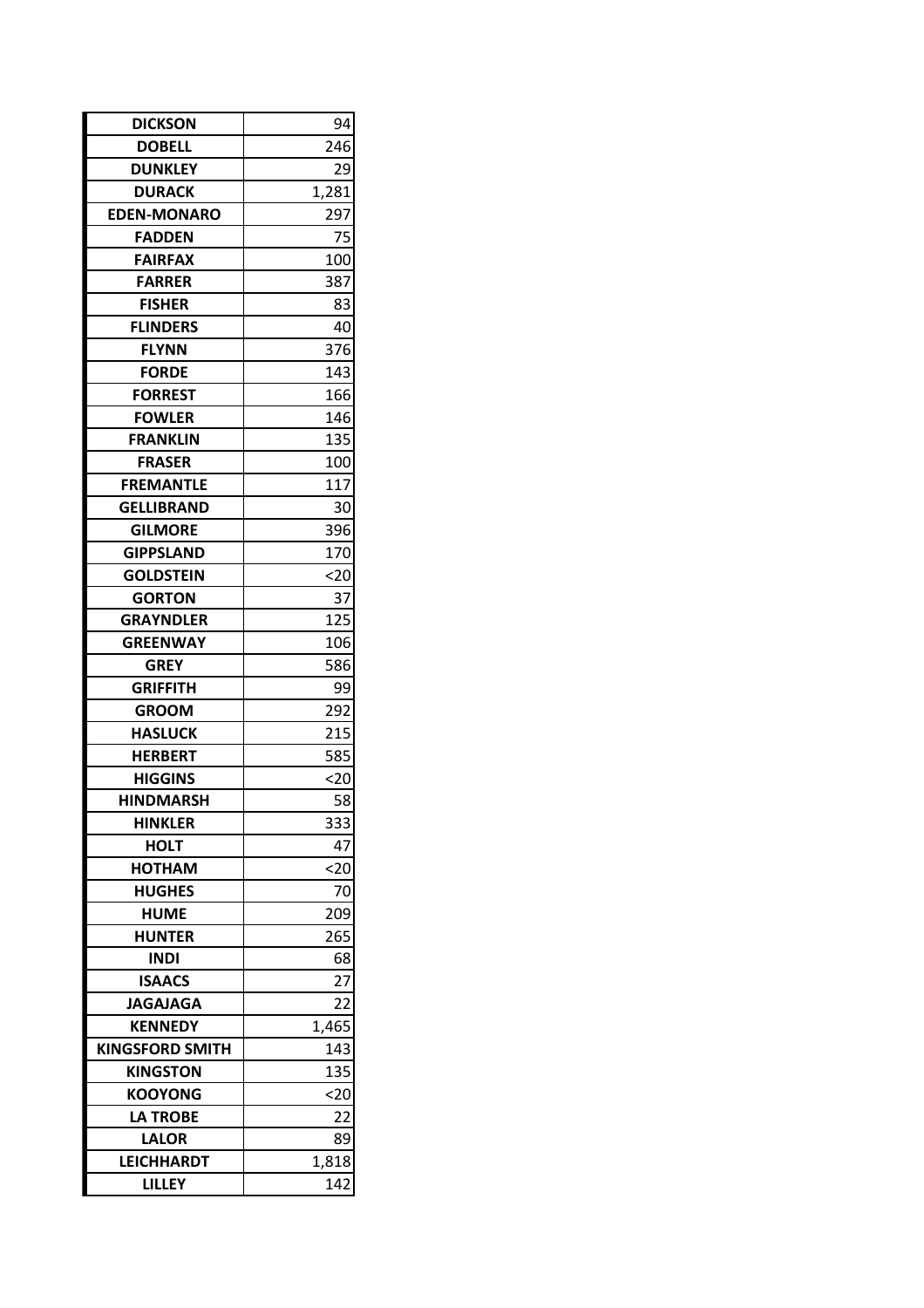| <b>DICKSON</b>         | 94    |
|------------------------|-------|
| <b>DOBELL</b>          | 246   |
| <b>DUNKLEY</b>         | 29    |
| <b>DURACK</b>          | 1,281 |
| <b>EDEN-MONARO</b>     | 297   |
| <b>FADDEN</b>          | 75    |
| <b>FAIRFAX</b>         | 100   |
| <b>FARRER</b>          | 387   |
| <b>FISHER</b>          | 83    |
| <b>FLINDERS</b>        | 40    |
| <b>FLYNN</b>           | 376   |
| <b>FORDE</b>           | 143   |
| <b>FORREST</b>         | 166   |
| <b>FOWLER</b>          | 146   |
| FRANKLIN               | 135   |
| <b>FRASER</b>          | 100   |
| <b>FREMANTLE</b>       | 117   |
| GELLIBRAND             | 30    |
| <b>GILMORE</b>         | 396   |
| <b>GIPPSLAND</b>       | 170   |
| <b>GOLDSTEIN</b>       | $20$  |
| <b>GORTON</b>          | 37    |
| <b>GRAYNDLER</b>       | 125   |
| <b>GREENWAY</b>        | 106   |
| <b>GREY</b>            | 586   |
| <b>GRIFFITH</b>        | 99    |
| <b>GROOM</b>           | 292   |
| <b>HASLUCK</b>         | 215   |
| <b>HERBERT</b>         | 585   |
| <b>HIGGINS</b>         | <20   |
| <b>HINDMARSH</b>       | 58    |
| <b>HINKLER</b>         | 333   |
| <b>HOLT</b>            | 47    |
| HOTHAM                 | $20$  |
| <b>HUGHES</b>          | 70    |
| <b>HUME</b>            | 209   |
| <b>HUNTER</b>          | 265   |
| INDI                   | 68    |
| <b>ISAACS</b>          | 27    |
| <b>JAGAJAGA</b>        | 22    |
| <b>KENNEDY</b>         | 1,465 |
| <b>KINGSFORD SMITH</b> | 143   |
| <b>KINGSTON</b>        | 135   |
| <b>KOOYONG</b>         | <20   |
| <b>LA TROBE</b>        | 22    |
| <b>LALOR</b>           | 89    |
| <b>LEICHHARDT</b>      | 1,818 |
| <b>LILLEY</b>          | 142   |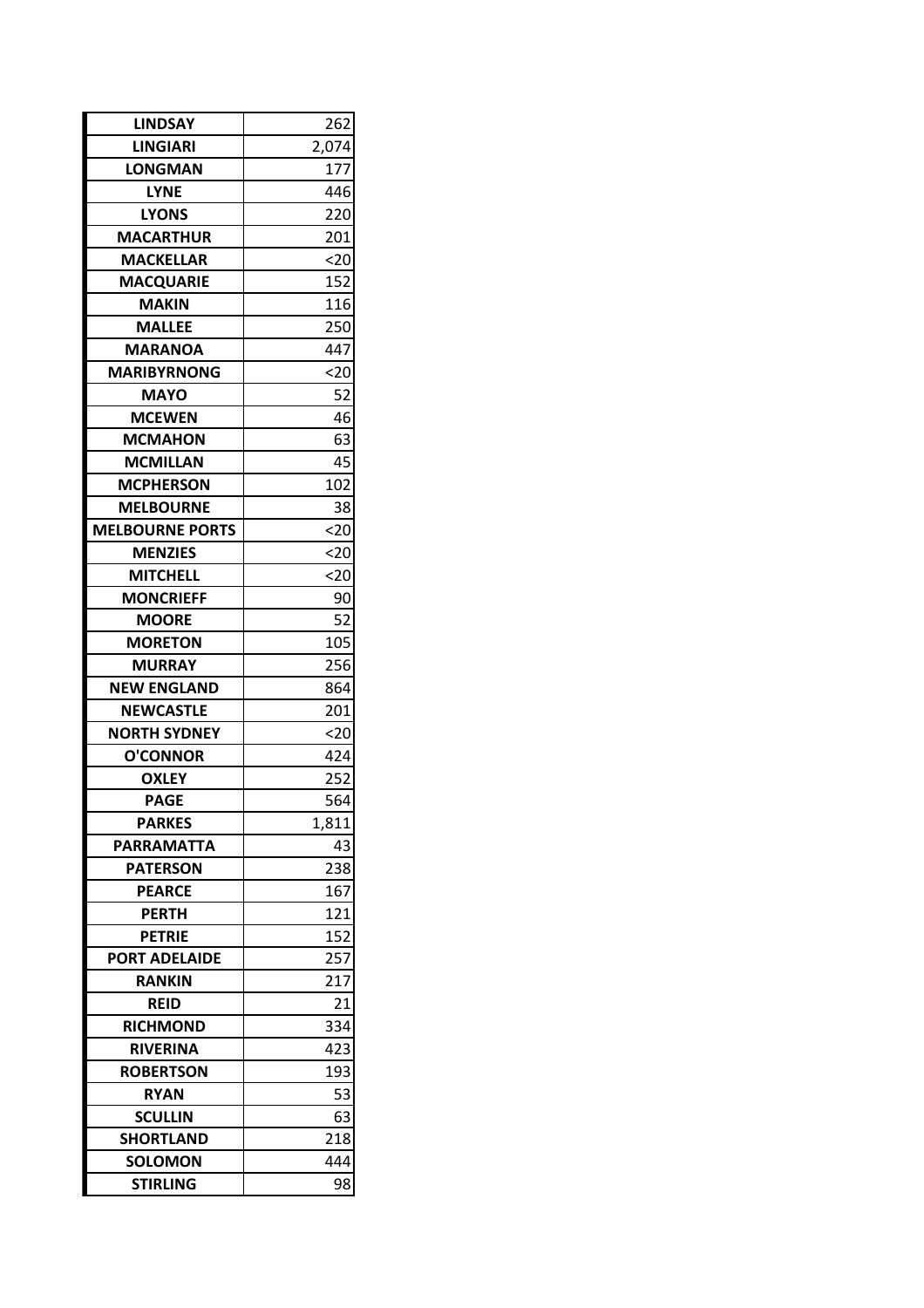| <b>LINDSAY</b>         | 262         |
|------------------------|-------------|
| <b>LINGIARI</b>        | 2,074       |
| LONGMAN                | 177         |
| <b>LYNE</b>            | 446         |
| <b>LYONS</b>           | 220         |
| <b>MACARTHUR</b>       | <u> 201</u> |
| <b>MACKELLAR</b>       | $20$        |
| <b>MACQUARIE</b>       | 152         |
| <b>MAKIN</b>           | 116         |
| <b>MALLEE</b>          | 250         |
| <b>MARANOA</b>         | 447         |
| <b>MARIBYRNONG</b>     | <20         |
| MAYO                   | 52          |
| <b>MCEWEN</b>          | 46          |
| <b>MCMAHON</b>         | 63          |
| <b>MCMILLAN</b>        | 45          |
| <b>MCPHERSON</b>       | 102         |
| <b>MELBOURNE</b>       | 38          |
| <b>MELBOURNE PORTS</b> | 20          |
| <b>MENZIES</b>         | $20$        |
| <b>MITCHELL</b>        | <20         |
| <b>MONCRIEFF</b>       | 90          |
| <b>MOORE</b>           | 52          |
| <b>MORETON</b>         | 105         |
| MURRAY                 | 256         |
| <b>NEW ENGLAND</b>     | 864         |
| <b>NEWCASTLE</b>       | 201         |
| NORTH SYDNEY           | $20$        |
| <b>O'CONNOR</b>        | 424         |
| <b>OXLEY</b>           | 252         |
| <b>PAGE</b>            | 564         |
| <b>PARKES</b>          | 1,811       |
| PARRAMATTA             | 43          |
| <b>PATERSON</b>        | 238         |
| <b>PEARCE</b>          | 167         |
| <b>PERTH</b>           | <u> 121</u> |
| <b>PETRIE</b>          | 152         |
| <b>PORT ADELAIDE</b>   | 257         |
| RANKIN                 | 217         |
| REID                   | 21          |
| <b>RICHMOND</b>        | 334         |
| RIVERINA               | 423         |
| <b>ROBERTSON</b>       | 193         |
| <b>RYAN</b>            | 53          |
| <b>SCULLIN</b>         | 63          |
| <b>SHORTLAND</b>       | 218         |
| <b>SOLOMON</b>         | 444         |
| <b>STIRLING</b>        | 98          |